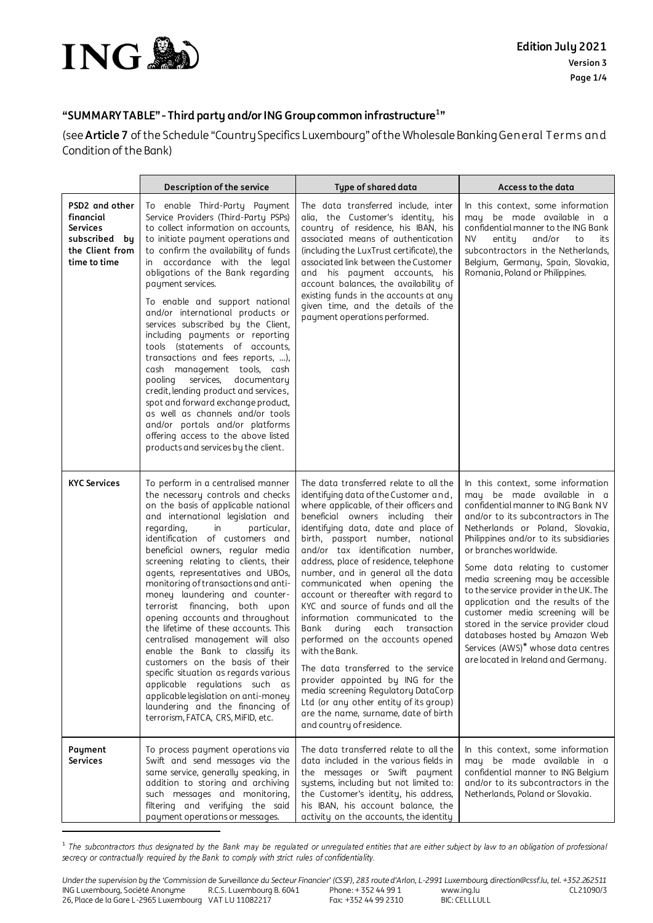

.

## **"SUMMARY TABLE" - Third party and/orING Group common infrastructure<sup>1</sup> "**

(see **Article7** of the Schedule "Country Specifics Luxembourg" of the Wholesale Banking General Terms and Condition of the Bank)

|                                                                                                    | Description of the service                                                                                                                                                                                                                                                                                                                                                                                                                                                                                                                                                                                                                                                                                                                                                                                                             | Type of shared data                                                                                                                                                                                                                                                                                                                                                                                                                                                                                                                                                                                                                                                                                                                                                                                                                            | Access to the data                                                                                                                                                                                                                                                                                                                                                                                                                                                                                                                                                                                     |
|----------------------------------------------------------------------------------------------------|----------------------------------------------------------------------------------------------------------------------------------------------------------------------------------------------------------------------------------------------------------------------------------------------------------------------------------------------------------------------------------------------------------------------------------------------------------------------------------------------------------------------------------------------------------------------------------------------------------------------------------------------------------------------------------------------------------------------------------------------------------------------------------------------------------------------------------------|------------------------------------------------------------------------------------------------------------------------------------------------------------------------------------------------------------------------------------------------------------------------------------------------------------------------------------------------------------------------------------------------------------------------------------------------------------------------------------------------------------------------------------------------------------------------------------------------------------------------------------------------------------------------------------------------------------------------------------------------------------------------------------------------------------------------------------------------|--------------------------------------------------------------------------------------------------------------------------------------------------------------------------------------------------------------------------------------------------------------------------------------------------------------------------------------------------------------------------------------------------------------------------------------------------------------------------------------------------------------------------------------------------------------------------------------------------------|
| PSD2 and other<br>financial<br><b>Services</b><br>subscribed by<br>the Client from<br>time to time | To enable Third-Party Payment<br>Service Providers (Third-Party PSPs)<br>to collect information on accounts,<br>to initiate payment operations and<br>to confirm the availability of funds<br>in accordance with the legal<br>obligations of the Bank regarding<br>payment services.<br>To enable and support national<br>and/or international products or<br>services subscribed by the Client,<br>including payments or reporting<br>tools (statements of accounts,<br>transactions and fees reports, ),<br>cash management tools, cash<br>services, documentary<br>pooling<br>credit, lending product and services,<br>spot and forward exchange product,<br>as well as channels and/or tools<br>and/or portals and/or platforms<br>offering access to the above listed<br>products and services by the client.                     | The data transferred include, inter<br>alia, the Customer's identity, his<br>country of residence, his IBAN, his<br>associated means of authentication<br>(including the LuxTrust certificate), the<br>associated link between the Customer<br>and his payment accounts, his<br>account balances, the availability of<br>existing funds in the accounts at any<br>given time, and the details of the<br>payment operations performed.                                                                                                                                                                                                                                                                                                                                                                                                          | In this context, some information<br>may be made available in a<br>confidential manner to the ING Bank<br><b>NV</b><br>entity<br>and/or<br>to<br>its<br>subcontractors in the Netherlands.<br>Belgium, Germany, Spain, Slovakia,<br>Romania, Poland or Philippines.                                                                                                                                                                                                                                                                                                                                    |
| <b>KYC Services</b>                                                                                | To perform in a centralised manner<br>the necessary controls and checks<br>on the basis of applicable national<br>and international legislation and<br>regarding,<br>in<br>particular,<br>identification of customers and<br>beneficial owners, regular media<br>screening relating to clients, their<br>agents, representatives and UBOs,<br>monitoring of transactions and anti-<br>money laundering and counter-<br>terrorist financing, both upon<br>opening accounts and throughout<br>the lifetime of these accounts. This<br>centralised management will also<br>enable the Bank to classify its<br>customers on the basis of their<br>specific situation as regards various<br>applicable regulations such as<br>applicable legislation on anti-money<br>laundering and the financing of<br>terrorism, FATCA, CRS, MiFID, etc. | The data transferred relate to all the<br>identifying data of the Customer and,<br>where applicable, of their officers and<br>beneficial owners including their<br>identifying data, date and place of<br>birth, passport number, national<br>and/or tax identification number,<br>address, place of residence, telephone<br>number, and in general all the data<br>communicated when opening the<br>account or thereafter with regard to<br>KYC and source of funds and all the<br>information communicated to the<br>Bank during<br>each transaction<br>performed on the accounts opened<br>with the Bank.<br>The data transferred to the service<br>provider appointed by ING for the<br>media screening Regulatory DataCorp<br>Ltd (or any other entity of its group)<br>are the name, surname, date of birth<br>and country of residence. | In this context, some information<br>may be made available in a<br>confidential manner to ING Bank NV<br>and/or to its subcontractors in The<br>Netherlands or Poland, Slovakia,<br>Philippines and/or to its subsidiaries<br>or branches worldwide.<br>Some data relating to customer<br>media screening may be accessible<br>to the service provider in the UK. The<br>application and the results of the<br>customer media screening will be<br>stored in the service provider cloud<br>databases hosted by Amazon Web<br>Services (AWS)* whose data centres<br>are located in Ireland and Germany. |
| Payment<br><b>Services</b>                                                                         | To process payment operations via<br>Swift and send messages via the<br>same service, generally speaking, in<br>addition to storing and archiving<br>such messages and monitoring,<br>filtering and verifying the said<br>payment operations or messages.                                                                                                                                                                                                                                                                                                                                                                                                                                                                                                                                                                              | The data transferred relate to all the<br>data included in the various fields in<br>the messages or Swift payment<br>systems, including but not limited to:<br>the Customer's identity, his address,<br>his IBAN, his account balance, the<br>activity on the accounts, the identity                                                                                                                                                                                                                                                                                                                                                                                                                                                                                                                                                           | In this context, some information<br>may be made available in a<br>confidential manner to ING Belgium<br>and/or to its subcontractors in the<br>Netherlands, Poland or Slovakia.                                                                                                                                                                                                                                                                                                                                                                                                                       |

<sup>1</sup> The subcontractors thus designated by the Bank may be regulated or unregulated entities that are either subject by law to an obligation of professional secrecy or contractually required by the Bank to comply with strict rules of confidentiality.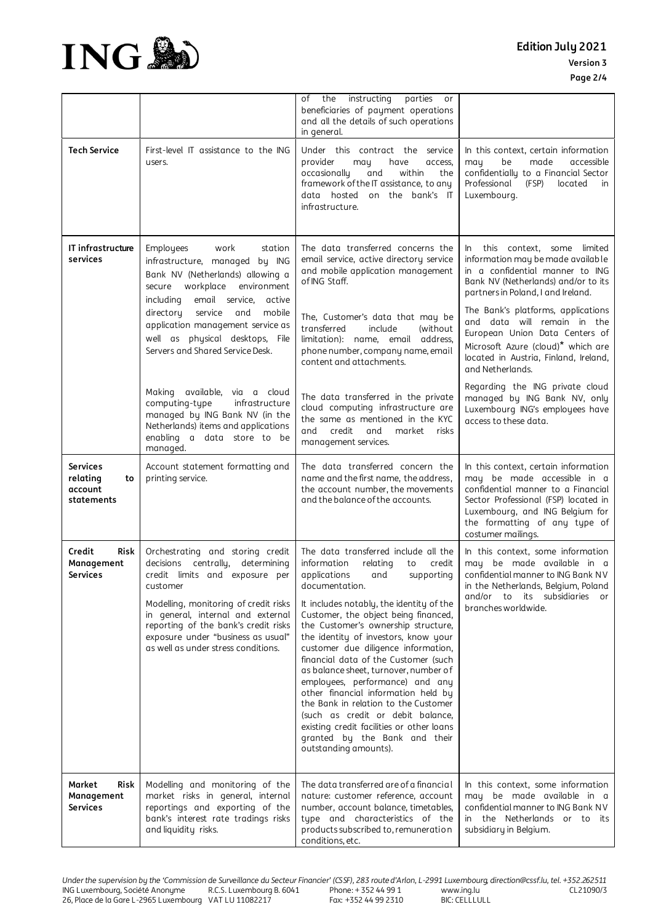

|                                                     |                                                                                                                                                                                                                                                                                                                          | instructing<br>parties<br>οf<br>the<br>or<br>beneficiaries of payment operations<br>and all the details of such operations<br>in general.                                                                                                                                                                                                                                                                                                                                                                                                                                                                                                                                                       |                                                                                                                                                                                                                                             |
|-----------------------------------------------------|--------------------------------------------------------------------------------------------------------------------------------------------------------------------------------------------------------------------------------------------------------------------------------------------------------------------------|-------------------------------------------------------------------------------------------------------------------------------------------------------------------------------------------------------------------------------------------------------------------------------------------------------------------------------------------------------------------------------------------------------------------------------------------------------------------------------------------------------------------------------------------------------------------------------------------------------------------------------------------------------------------------------------------------|---------------------------------------------------------------------------------------------------------------------------------------------------------------------------------------------------------------------------------------------|
| <b>Tech Service</b>                                 | First-level IT assistance to the ING<br>users.                                                                                                                                                                                                                                                                           | Under this contract the service<br>provider<br>have<br>may<br>access,<br>within<br>occasionally<br>and<br>the<br>framework of the IT assistance, to any<br>data hosted on the bank's IT<br>infrastructure.                                                                                                                                                                                                                                                                                                                                                                                                                                                                                      | In this context, certain information<br>may<br>be<br>made<br>accessible<br>confidentially to a Financial Sector<br>Professional<br>(FSP)<br>located<br>in.<br>Luxembourg.                                                                   |
| IT infrastructure<br>services                       | Employees<br>work<br>station<br>infrastructure, managed by ING<br>Bank NV (Netherlands) allowing a<br>secure workplace environment<br>including<br>email service,<br>active                                                                                                                                              | The data transferred concerns the<br>email service, active directory service<br>and mobile application management<br>of ING Staff.                                                                                                                                                                                                                                                                                                                                                                                                                                                                                                                                                              | this context, some limited<br>$\ln$<br>information may be made available<br>in a confidential manner to ING<br>Bank NV (Netherlands) and/or to its<br>partners in Poland, I and Ireland.                                                    |
|                                                     | directory<br>service<br>and<br>mobile<br>application management service as<br>well as physical desktops, File<br>Servers and Shared Service Desk.                                                                                                                                                                        | The, Customer's data that may be<br>transferred<br>include<br>(without<br>limitation): name, email address,<br>phone number, company name, email<br>content and attachments.                                                                                                                                                                                                                                                                                                                                                                                                                                                                                                                    | The Bank's platforms, applications<br>and data will remain in the<br>European Union Data Centers of<br>Microsoft Azure (cloud)* which are<br>located in Austria, Finland, Ireland,<br>and Netherlands.                                      |
|                                                     | Making available, via a cloud<br>computing-type<br>infrastructure<br>managed by ING Bank NV (in the<br>Netherlands) items and applications<br>enabling a data store to be<br>managed.                                                                                                                                    | The data transferred in the private<br>cloud computing infrastructure are<br>the same as mentioned in the KYC<br>and<br>credit<br>and<br>market<br>risks<br>management services.                                                                                                                                                                                                                                                                                                                                                                                                                                                                                                                | Regarding the ING private cloud<br>managed by ING Bank NV, only<br>Luxembourg ING's employees have<br>access to these data.                                                                                                                 |
| Services<br>relating<br>to<br>account<br>statements | Account statement formatting and<br>printing service.                                                                                                                                                                                                                                                                    | The data transferred concern the<br>name and the first name, the address,<br>the account number, the movements<br>and the balance of the accounts.                                                                                                                                                                                                                                                                                                                                                                                                                                                                                                                                              | In this context, certain information<br>may be made accessible in a<br>confidential manner to a Financial<br>Sector Professional (FSP) located in<br>Luxembourg, and ING Belgium for<br>the formatting of any type of<br>costumer mailings. |
| Credit<br>Risk<br>Management<br>Services            | Orchestrating and storing credit<br>centrally, determining<br>decisions<br>credit limits and exposure per<br>customer<br>Modelling, monitoring of credit risks<br>in general, internal and external<br>reporting of the bank's credit risks<br>exposure under "business as usual"<br>as well as under stress conditions. | The data transferred include all the<br>information<br>relating<br>credit<br>to<br>applications<br>supporting<br>and<br>documentation.<br>It includes notably, the identity of the<br>Customer, the object being financed,<br>the Customer's ownership structure,<br>the identity of investors, know your<br>customer due diligence information,<br>financial data of the Customer (such<br>as balance sheet, turnover, number of<br>employees, performance) and any<br>other financial information held by<br>the Bank in relation to the Customer<br>(such as credit or debit balance,<br>existing credit facilities or other loans<br>granted by the Bank and their<br>outstanding amounts). | In this context, some information<br>may be made available in a<br>confidential manner to ING Bank NV<br>in the Netherlands, Belgium, Poland<br>and/or to its subsidiaries<br>or<br>branches worldwide.                                     |
| Market<br>Risk<br>Management<br>Services            | Modelling and monitoring of the<br>market risks in general, internal<br>reportings and exporting of the<br>bank's interest rate tradings risks<br>and liquidity risks.                                                                                                                                                   | The data transferred are of a financial<br>nature: customer reference, account<br>number, account balance, timetables,<br>type and characteristics of the<br>products subscribed to, remuneration<br>conditions, etc.                                                                                                                                                                                                                                                                                                                                                                                                                                                                           | In this context, some information<br>may be made available in a<br>confidential manner to ING Bank NV<br>in the Netherlands or to its<br>subsidiary in Belgium.                                                                             |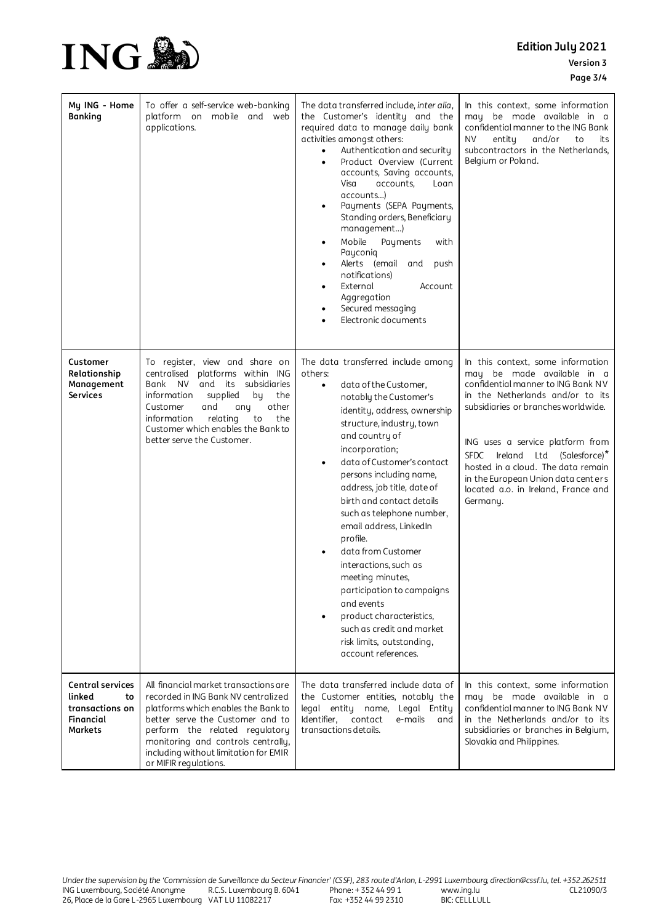## **Edition July 2021 Version 3 Page 3/4**



| My ING - Home<br><b>Banking</b>                                                           | To offer a self-service web-banking<br>platform on mobile and web<br>applications.                                                                                                                                                                                                                           | The data transferred include, inter alia,<br>the Customer's identity and the<br>required data to manage daily bank<br>activities amongst others:<br>Authentication and security<br>$\bullet$<br>Product Overview (Current<br>$\bullet$<br>accounts, Saving accounts,<br>Visa<br>accounts,<br>Loan<br>accounts)<br>Payments (SEPA Payments,<br>$\bullet$<br>Standing orders, Beneficiary<br>management)<br>Mobile<br>Payments<br>with<br>$\bullet$<br>Payconiq<br>Alerts (email and<br>push<br>٠<br>notifications)<br>External<br>Account<br>$\bullet$<br>Aggregation<br>Secured messaging<br>Electronic documents                                                  | In this context, some information<br>may be made available in a<br>confidential manner to the ING Bank<br>NV.<br>entity<br>and/or<br>to<br>its<br>subcontractors in the Netherlands,<br>Belgium or Poland.                                                                                                                                                                                      |
|-------------------------------------------------------------------------------------------|--------------------------------------------------------------------------------------------------------------------------------------------------------------------------------------------------------------------------------------------------------------------------------------------------------------|--------------------------------------------------------------------------------------------------------------------------------------------------------------------------------------------------------------------------------------------------------------------------------------------------------------------------------------------------------------------------------------------------------------------------------------------------------------------------------------------------------------------------------------------------------------------------------------------------------------------------------------------------------------------|-------------------------------------------------------------------------------------------------------------------------------------------------------------------------------------------------------------------------------------------------------------------------------------------------------------------------------------------------------------------------------------------------|
| Customer<br>Relationship<br>Management<br><b>Services</b>                                 | To register, view and share on<br>platforms within ING<br>centralised<br>Bank<br><b>NV</b><br>and its<br>subsidiaries<br>information<br>supplied<br>the<br>by<br>Customer<br>and<br>other<br>any<br>information<br>relating<br>to<br>the<br>Customer which enables the Bank to<br>better serve the Customer. | The data transferred include among<br>others:<br>data of the Customer,<br>$\bullet$<br>notably the Customer's<br>identity, address, ownership<br>structure, industry, town<br>and country of<br>incorporation;<br>data of Customer's contact<br>$\bullet$<br>persons including name,<br>address, job title, date of<br>birth and contact details<br>such as telephone number,<br>email address, LinkedIn<br>profile.<br>data from Customer<br>$\bullet$<br>interactions, such as<br>meeting minutes,<br>participation to campaigns<br>and events<br>product characteristics,<br>٠<br>such as credit and market<br>risk limits, outstanding,<br>account references. | In this context, some information<br>may be made available in a<br>confidential manner to ING Bank NV<br>in the Netherlands and/or to its<br>subsidiaries or branches worldwide.<br>ING uses a service platform from<br>Ireland Ltd (Salesforce)*<br><b>SFDC</b><br>hosted in a cloud. The data remain<br>in the European Union data centers<br>located a.o. in Ireland, France and<br>Germany. |
| <b>Central services</b><br>linked<br>to<br>transactions on<br><b>Financial</b><br>Markets | All financial market transactions are<br>recorded in ING Bank NV centralized<br>platforms which enables the Bank to<br>better serve the Customer and to<br>perform the related regulatory<br>monitoring and controls centrally,<br>including without limitation for EMIR<br>or MIFIR regulations.            | The data transferred include data of<br>the Customer entities, notably the<br>legal entity name, Legal Entity<br>Identifier,<br>contact<br>e-mails<br>and<br>transactions details.                                                                                                                                                                                                                                                                                                                                                                                                                                                                                 | In this context, some information<br>may be made available in a<br>confidential manner to ING Bank NV<br>in the Netherlands and/or to its<br>subsidiaries or branches in Belgium,<br>Slovakia and Philippines.                                                                                                                                                                                  |